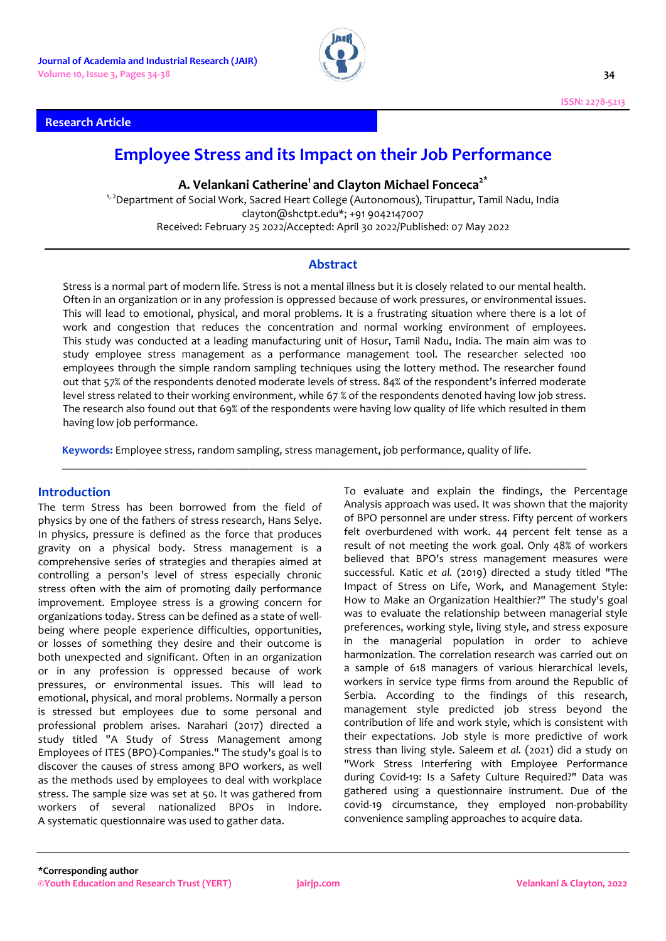

### **Research Article**

# **Employee Stress and its Impact on their Job Performance**

**A. Velankani Catherine1 and Clayton Michael Fonceca2\***

<sup>1, 2</sup> Department of Social Work, Sacred Heart College (Autonomous), Tirupattur, Tamil Nadu, India clayton@shctpt.edu\*; +91 9042147007 Received: February 25 2022/Accepted: April 30 2022/Published: 07 May 2022

# **Abstract**

Stress is a normal part of modern life. Stress is not a mental illness but it is closely related to our mental health. Often in an organization or in any profession is oppressed because of work pressures, or environmental issues. This will lead to emotional, physical, and moral problems. It is a frustrating situation where there is a lot of work and congestion that reduces the concentration and normal working environment of employees. This study was conducted at a leading manufacturing unit of Hosur, Tamil Nadu, India. The main aim was to study employee stress management as a performance management tool. The researcher selected 100 employees through the simple random sampling techniques using the lottery method. The researcher found out that 57% of the respondents denoted moderate levels of stress. 84% of the respondent's inferred moderate level stress related to their working environment, while 67 % of the respondents denoted having low job stress. The research also found out that 69% of the respondents were having low quality of life which resulted in them having low job performance.

\_\_\_\_\_\_\_\_\_\_\_\_\_\_\_\_\_\_\_\_\_\_\_\_\_\_\_\_\_\_\_\_\_\_\_\_\_\_\_\_\_\_\_\_\_\_\_\_\_\_\_\_\_\_\_\_\_\_\_\_\_\_\_\_\_\_\_\_\_\_\_\_\_\_\_\_\_\_\_\_\_\_\_\_\_\_\_\_\_\_\_\_\_

**Keywords:** Employee stress, random sampling, stress management, job performance, quality of life.

#### **Introduction**

The term Stress has been borrowed from the field of physics by one of the fathers of stress research, Hans Selye. In physics, pressure is defined as the force that produces gravity on a physical body. Stress management is a comprehensive series of strategies and therapies aimed at controlling a person's level of stress especially chronic stress often with the aim of promoting daily performance improvement. Employee stress is a growing concern for organizations today. Stress can be defined as a state of wellbeing where people experience difficulties, opportunities, or losses of something they desire and their outcome is both unexpected and significant. Often in an organization or in any profession is oppressed because of work pressures, or environmental issues. This will lead to emotional, physical, and moral problems. Normally a person is stressed but employees due to some personal and professional problem arises. Narahari (2017) directed a study titled "A Study of Stress Management among Employees of ITES (BPO)-Companies." The study's goal is to discover the causes of stress among BPO workers, as well as the methods used by employees to deal with workplace stress. The sample size was set at 50. It was gathered from workers of several nationalized BPOs in Indore. A systematic questionnaire was used to gather data.

To evaluate and explain the findings, the Percentage Analysis approach was used. It was shown that the majority of BPO personnel are under stress. Fifty percent of workers felt overburdened with work. 44 percent felt tense as a result of not meeting the work goal. Only 48% of workers believed that BPO's stress management measures were successful. Katic *et al.* (2019) directed a study titled "The Impact of Stress on Life, Work, and Management Style: How to Make an Organization Healthier?" The study's goal was to evaluate the relationship between managerial style preferences, working style, living style, and stress exposure in the managerial population in order to achieve harmonization. The correlation research was carried out on a sample of 618 managers of various hierarchical levels, workers in service type firms from around the Republic of Serbia. According to the findings of this research, management style predicted job stress beyond the contribution of life and work style, which is consistent with their expectations. Job style is more predictive of work stress than living style. Saleem *et al.* (2021) did a study on "Work Stress Interfering with Employee Performance during Covid-19: Is a Safety Culture Required?" Data was gathered using a questionnaire instrument. Due of the covid-19 circumstance, they employed non-probability convenience sampling approaches to acquire data.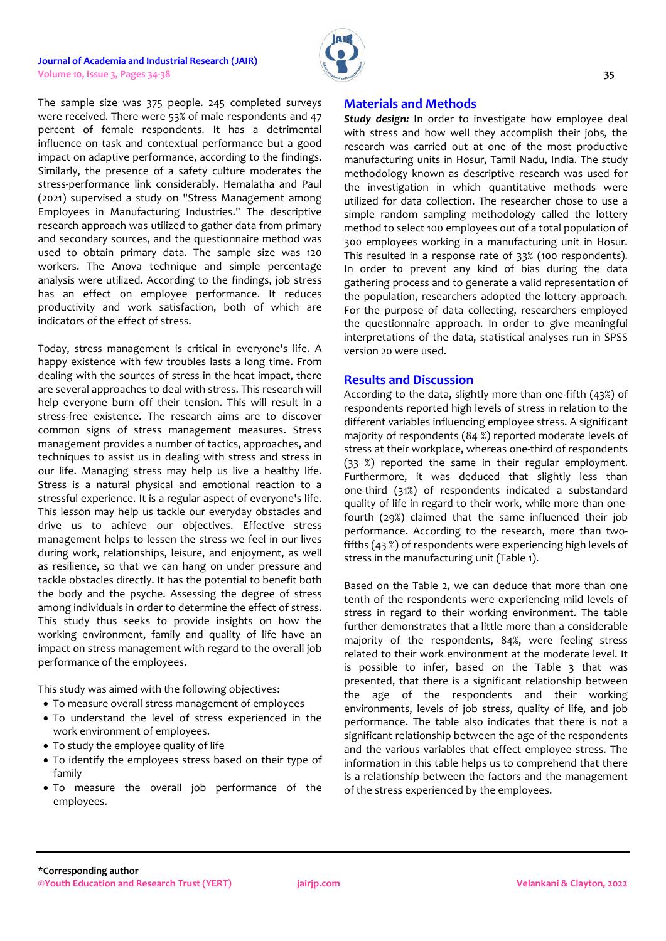#### **Journal of Academia and Industrial Research (JAIR) Volume 10, Issue 3, Pages 34-38 35**



The sample size was 375 people. 245 completed surveys were received. There were 53% of male respondents and 47 percent of female respondents. It has a detrimental influence on task and contextual performance but a good impact on adaptive performance, according to the findings. Similarly, the presence of a safety culture moderates the stress-performance link considerably. Hemalatha and Paul (2021) supervised a study on "Stress Management among Employees in Manufacturing Industries." The descriptive research approach was utilized to gather data from primary and secondary sources, and the questionnaire method was used to obtain primary data. The sample size was 120 workers. The Anova technique and simple percentage analysis were utilized. According to the findings, job stress has an effect on employee performance. It reduces productivity and work satisfaction, both of which are indicators of the effect of stress.

Today, stress management is critical in everyone's life. A happy existence with few troubles lasts a long time. From dealing with the sources of stress in the heat impact, there are several approaches to deal with stress. This research will help everyone burn off their tension. This will result in a stress-free existence. The research aims are to discover common signs of stress management measures. Stress management provides a number of tactics, approaches, and techniques to assist us in dealing with stress and stress in our life. Managing stress may help us live a healthy life. Stress is a natural physical and emotional reaction to a stressful experience. It is a regular aspect of everyone's life. This lesson may help us tackle our everyday obstacles and drive us to achieve our objectives. Effective stress management helps to lessen the stress we feel in our lives during work, relationships, leisure, and enjoyment, as well as resilience, so that we can hang on under pressure and tackle obstacles directly. It has the potential to benefit both the body and the psyche. Assessing the degree of stress among individuals in order to determine the effect of stress. This study thus seeks to provide insights on how the working environment, family and quality of life have an impact on stress management with regard to the overall job performance of the employees.

This study was aimed with the following objectives:

- To measure overall stress management of employees
- To understand the level of stress experienced in the work environment of employees.
- To study the employee quality of life
- To identify the employees stress based on their type of family
- To measure the overall job performance of the employees.

# **Materials and Methods**

*Study design:* In order to investigate how employee deal with stress and how well they accomplish their jobs, the research was carried out at one of the most productive manufacturing units in Hosur, Tamil Nadu, India. The study methodology known as descriptive research was used for the investigation in which quantitative methods were utilized for data collection. The researcher chose to use a simple random sampling methodology called the lottery method to select 100 employees out of a total population of 300 employees working in a manufacturing unit in Hosur. This resulted in a response rate of 33% (100 respondents). In order to prevent any kind of bias during the data gathering process and to generate a valid representation of the population, researchers adopted the lottery approach. For the purpose of data collecting, researchers employed the questionnaire approach. In order to give meaningful interpretations of the data, statistical analyses run in SPSS version 20 were used.

# **Results and Discussion**

According to the data, slightly more than one-fifth (43%) of respondents reported high levels of stress in relation to the different variables influencing employee stress. A significant majority of respondents (84 %) reported moderate levels of stress at their workplace, whereas one-third of respondents (33 %) reported the same in their regular employment. Furthermore, it was deduced that slightly less than one-third (31%) of respondents indicated a substandard quality of life in regard to their work, while more than onefourth (29%) claimed that the same influenced their job performance. According to the research, more than twofifths (43 %) of respondents were experiencing high levels of stress in the manufacturing unit (Table 1).

Based on the Table 2, we can deduce that more than one tenth of the respondents were experiencing mild levels of stress in regard to their working environment. The table further demonstrates that a little more than a considerable majority of the respondents, 84%, were feeling stress related to their work environment at the moderate level. It is possible to infer, based on the Table 3 that was presented, that there is a significant relationship between the age of the respondents and their working environments, levels of job stress, quality of life, and job performance. The table also indicates that there is not a significant relationship between the age of the respondents and the various variables that effect employee stress. The information in this table helps us to comprehend that there is a relationship between the factors and the management of the stress experienced by the employees.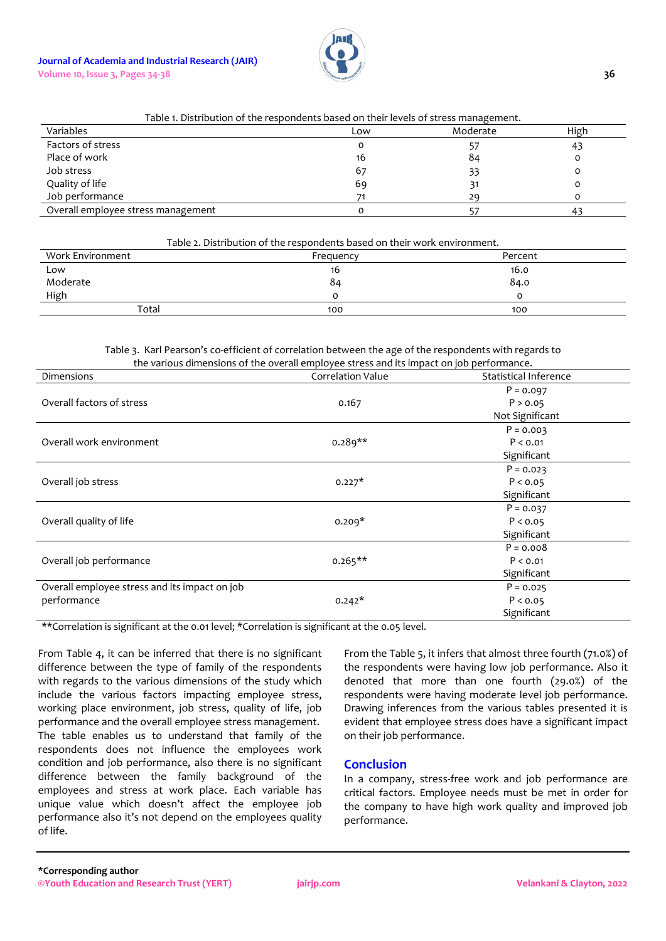

# Table 1. Distribution of the respondents based on their levels of stress management.

| Variables                          | Low | Moderate | High |
|------------------------------------|-----|----------|------|
| Factors of stress                  |     |          | 43   |
| Place of work                      | 16  | 84       |      |
| Job stress                         | 67  | 33       |      |
| Quality of life                    | 69  |          |      |
| Job performance                    |     | 29       |      |
| Overall employee stress management |     |          | 43   |

#### Table 2. Distribution of the respondents based on their work environment.

| Work Environment | Frequency | Percent |
|------------------|-----------|---------|
| Low              | 16        | 16.0    |
| Moderate         | 84        | 84.0    |
| High             |           |         |
| Total            | 100       | 100     |

#### Table 3. Karl Pearson's co-efficient of correlation between the age of the respondents with regards to the various dimensions of the overall employee stress and its impact on job performance.

| Dimensions                                    | <b>Correlation Value</b> | Statistical Inference |  |
|-----------------------------------------------|--------------------------|-----------------------|--|
|                                               |                          | $P = 0.097$           |  |
| Overall factors of stress                     | 0.167                    | P > 0.05              |  |
|                                               |                          | Not Significant       |  |
|                                               |                          | $P = 0.003$           |  |
| Overall work environment                      | $0.289**$                | P < 0.01              |  |
|                                               |                          | Significant           |  |
|                                               |                          | $P = 0.023$           |  |
| Overall job stress                            | $0.227*$                 | P < 0.05              |  |
|                                               |                          | Significant           |  |
|                                               |                          | $P = 0.037$           |  |
| Overall quality of life                       | $0.209*$                 | P < 0.05              |  |
|                                               |                          | Significant           |  |
|                                               |                          | $P = 0.008$           |  |
| Overall job performance                       | $0.265**$                | P < 0.01              |  |
|                                               |                          | Significant           |  |
| Overall employee stress and its impact on job |                          | $P = 0.025$           |  |
| performance                                   | $0.242*$                 | P < 0.05              |  |
|                                               |                          | Significant           |  |

\*\*Correlation is significant at the 0.01 level; \*Correlation is significant at the 0.05 level.

From Table 4, it can be inferred that there is no significant difference between the type of family of the respondents with regards to the various dimensions of the study which include the various factors impacting employee stress, working place environment, job stress, quality of life, job performance and the overall employee stress management. The table enables us to understand that family of the respondents does not influence the employees work condition and job performance, also there is no significant difference between the family background of the employees and stress at work place. Each variable has unique value which doesn't affect the employee job performance also it's not depend on the employees quality of life.

From the Table 5, it infers that almost three fourth (71.0%) of the respondents were having low job performance. Also it denoted that more than one fourth (29.0%) of the respondents were having moderate level job performance. Drawing inferences from the various tables presented it is evident that employee stress does have a significant impact on their job performance.

# **Conclusion**

In a company, stress-free work and job performance are critical factors. Employee needs must be met in order for the company to have high work quality and improved job performance.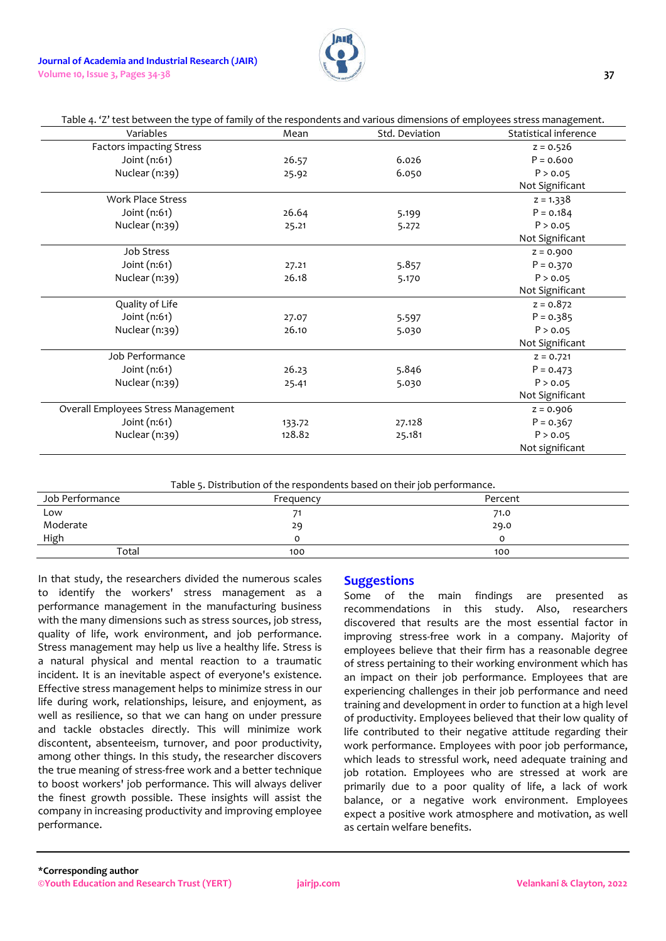

| Variables                           | Mean   | Std. Deviation | Statistical inference |
|-------------------------------------|--------|----------------|-----------------------|
| <b>Factors impacting Stress</b>     |        |                | $z = 0.526$           |
| Joint (n:61)                        | 26.57  | 6.026          | $P = 0.600$           |
| Nuclear (n:39)                      | 25.92  | 6.050          | P > 0.05              |
|                                     |        |                | Not Significant       |
| <b>Work Place Stress</b>            |        |                | $z = 1.338$           |
| Joint (n:61)                        | 26.64  | 5.199          | $P = 0.184$           |
| Nuclear (n:39)                      | 25.21  | 5.272          | P > 0.05              |
|                                     |        |                | Not Significant       |
| Job Stress                          |        |                | $Z = 0.900$           |
| Joint (n:61)                        | 27.21  | 5.857          | $P = 0.370$           |
| Nuclear (n:39)                      | 26.18  | 5.170          | P > 0.05              |
|                                     |        |                | Not Significant       |
| Quality of Life                     |        |                | $z = 0.872$           |
| Joint (n:61)                        | 27.07  | 5.597          | $P = 0.385$           |
| Nuclear (n:39)                      | 26.10  | 5.030          | P > 0.05              |
|                                     |        |                | Not Significant       |
| Job Performance                     |        |                | $Z = 0.721$           |
| Joint (n:61)                        | 26.23  | 5.846          | $P = 0.473$           |
| Nuclear (n:39)                      | 25.41  | 5.030          | P > 0.05              |
|                                     |        |                | Not Significant       |
| Overall Employees Stress Management |        |                | $z = 0.906$           |
| Joint (n:61)                        | 133.72 | 27.128         | $P = 0.367$           |
| Nuclear (n:39)                      | 128.82 | 25.181         | P > 0.05              |
|                                     |        |                | Not significant       |

Table 5. Distribution of the respondents based on their job performance.

| Job Performance | Frequency | Percent |
|-----------------|-----------|---------|
| Low             |           | 71.0    |
| Moderate        | 29        | 29.0    |
| <b>High</b>     |           | Ω       |
| Total           | 100       | 100     |
|                 |           |         |

In that study, the researchers divided the numerous scales to identify the workers' stress management as a performance management in the manufacturing business with the many dimensions such as stress sources, job stress, quality of life, work environment, and job performance. Stress management may help us live a healthy life. Stress is a natural physical and mental reaction to a traumatic incident. It is an inevitable aspect of everyone's existence. Effective stress management helps to minimize stress in our life during work, relationships, leisure, and enjoyment, as well as resilience, so that we can hang on under pressure and tackle obstacles directly. This will minimize work discontent, absenteeism, turnover, and poor productivity, among other things. In this study, the researcher discovers the true meaning of stress-free work and a better technique to boost workers' job performance. This will always deliver the finest growth possible. These insights will assist the company in increasing productivity and improving employee performance.

# **Suggestions**

Some of the main findings are presented as recommendations in this study. Also, researchers discovered that results are the most essential factor in improving stress-free work in a company. Majority of employees believe that their firm has a reasonable degree of stress pertaining to their working environment which has an impact on their job performance. Employees that are experiencing challenges in their job performance and need training and development in order to function at a high level of productivity. Employees believed that their low quality of life contributed to their negative attitude regarding their work performance. Employees with poor job performance, which leads to stressful work, need adequate training and job rotation. Employees who are stressed at work are primarily due to a poor quality of life, a lack of work balance, or a negative work environment. Employees expect a positive work atmosphere and motivation, as well as certain welfare benefits.